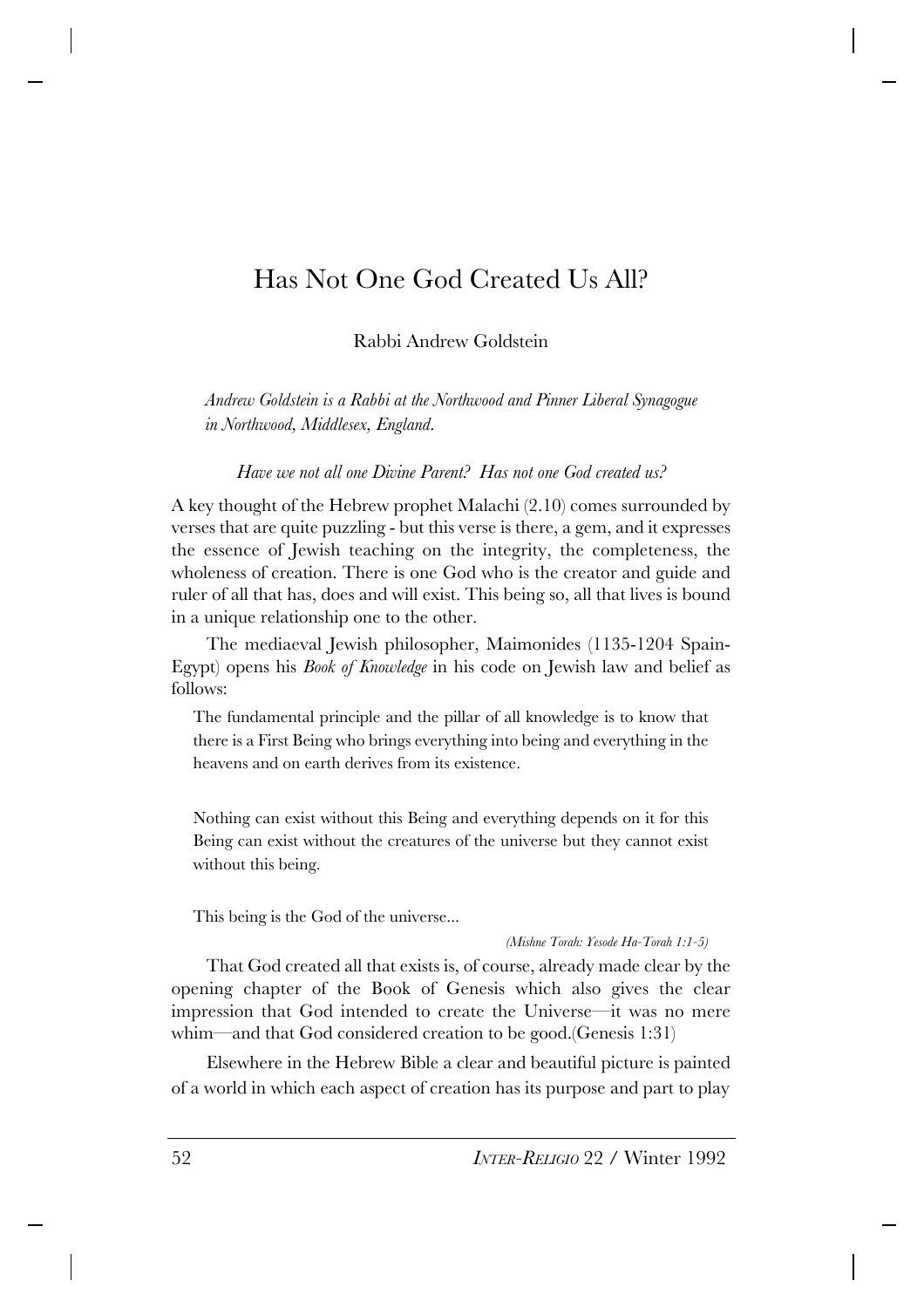# Has Not One God Created Us All?

Rabbi Andrew Goldstein

*Andrew Goldstein is a Rabbi at the Northwood and Pinner Liberal Synagogue in Northwood, Middlesex, England.*

*Have we not all one Divine Parent? Has not one God created us?*

A key thought of the Hebrew prophet Malachi (2.10) comes surrounded by verses that are quite puzzling - but this verse is there, a gem, and it expresses the essence of Jewish teaching on the integrity, the completeness, the wholeness of creation. There is one God who is the creator and guide and ruler of all that has, does and will exist. This being so, all that lives is bound in a unique relationship one to the other.

The mediaeval Jewish philosopher, Maimonides (1135-1204 Spain-Egypt) opens his *Book of Knowledge* in his code on Jewish law and belief as follows:

The fundamental principle and the pillar of all knowledge is to know that there is a First Being who brings everything into being and everything in the heavens and on earth derives from its existence.

Nothing can exist without this Being and everything depends on it for this Being can exist without the creatures of the universe but they cannot exist without this being.

This being is the God of the universe...

#### *(Mishne Torah: Yesode Ha-Torah 1:1-5)*

That God created all that exists is, of course, already made clear by the opening chapter of the Book of Genesis which also gives the clear impression that God intended to create the Universe—it was no mere whim—and that God considered creation to be good.(Genesis 1:31)

Elsewhere in the Hebrew Bible a clear and beautiful picture is painted of a world in which each aspect of creation has its purpose and part to play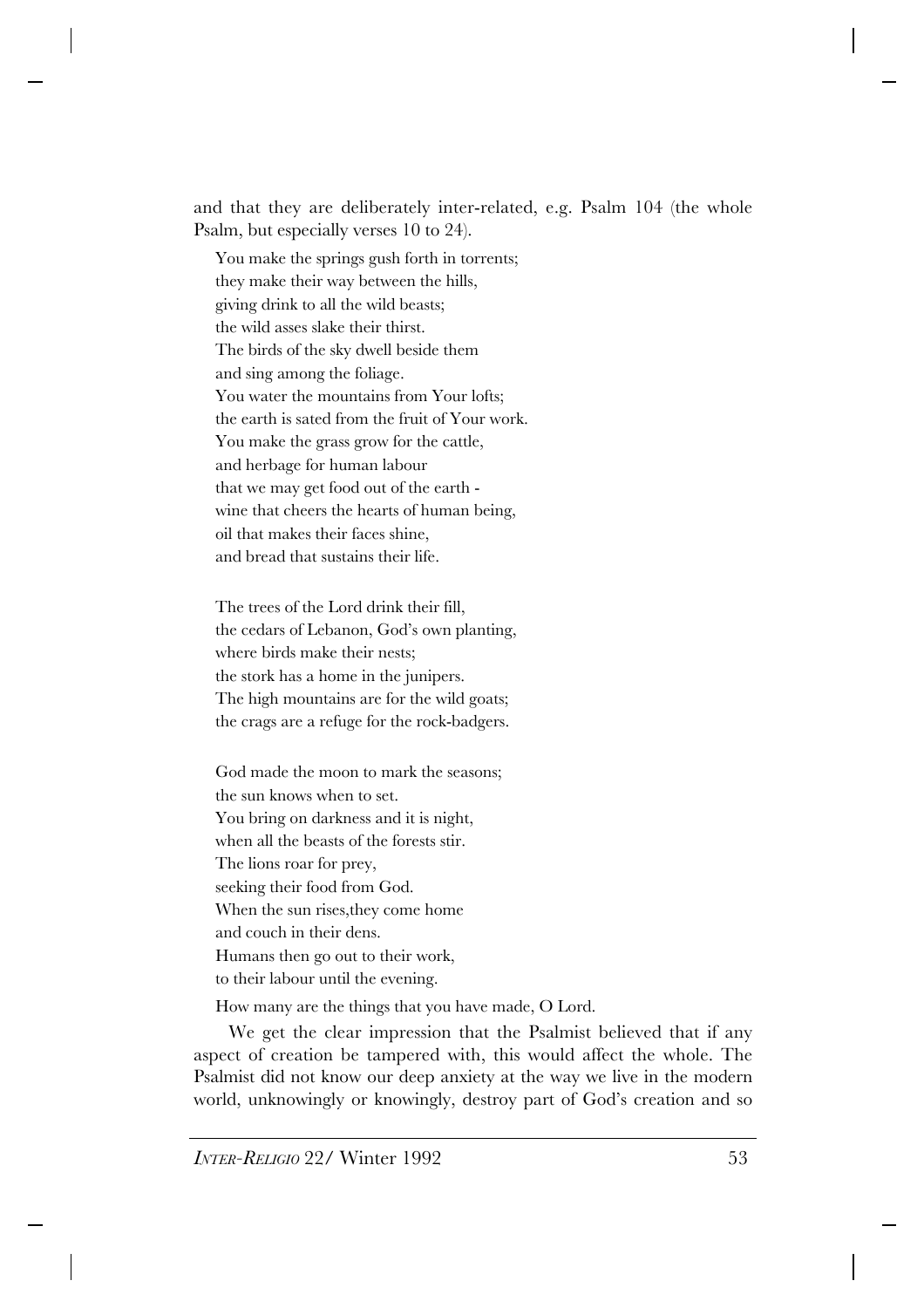and that they are deliberately inter-related, e.g. Psalm 104 (the whole Psalm, but especially verses 10 to 24).

You make the springs gush forth in torrents; they make their way between the hills, giving drink to all the wild beasts; the wild asses slake their thirst. The birds of the sky dwell beside them and sing among the foliage. You water the mountains from Your lofts; the earth is sated from the fruit of Your work. You make the grass grow for the cattle, and herbage for human labour that we may get food out of the earth wine that cheers the hearts of human being, oil that makes their faces shine, and bread that sustains their life.

The trees of the Lord drink their fill, the cedars of Lebanon, God's own planting, where birds make their nests; the stork has a home in the junipers. The high mountains are for the wild goats; the crags are a refuge for the rock-badgers.

God made the moon to mark the seasons; the sun knows when to set. You bring on darkness and it is night, when all the beasts of the forests stir. The lions roar for prey, seeking their food from God. When the sun rises,they come home and couch in their dens. Humans then go out to their work, to their labour until the evening.

How many are the things that you have made, O Lord.

We get the clear impression that the Psalmist believed that if any aspect of creation be tampered with, this would affect the whole. The Psalmist did not know our deep anxiety at the way we live in the modern world, unknowingly or knowingly, destroy part of God's creation and so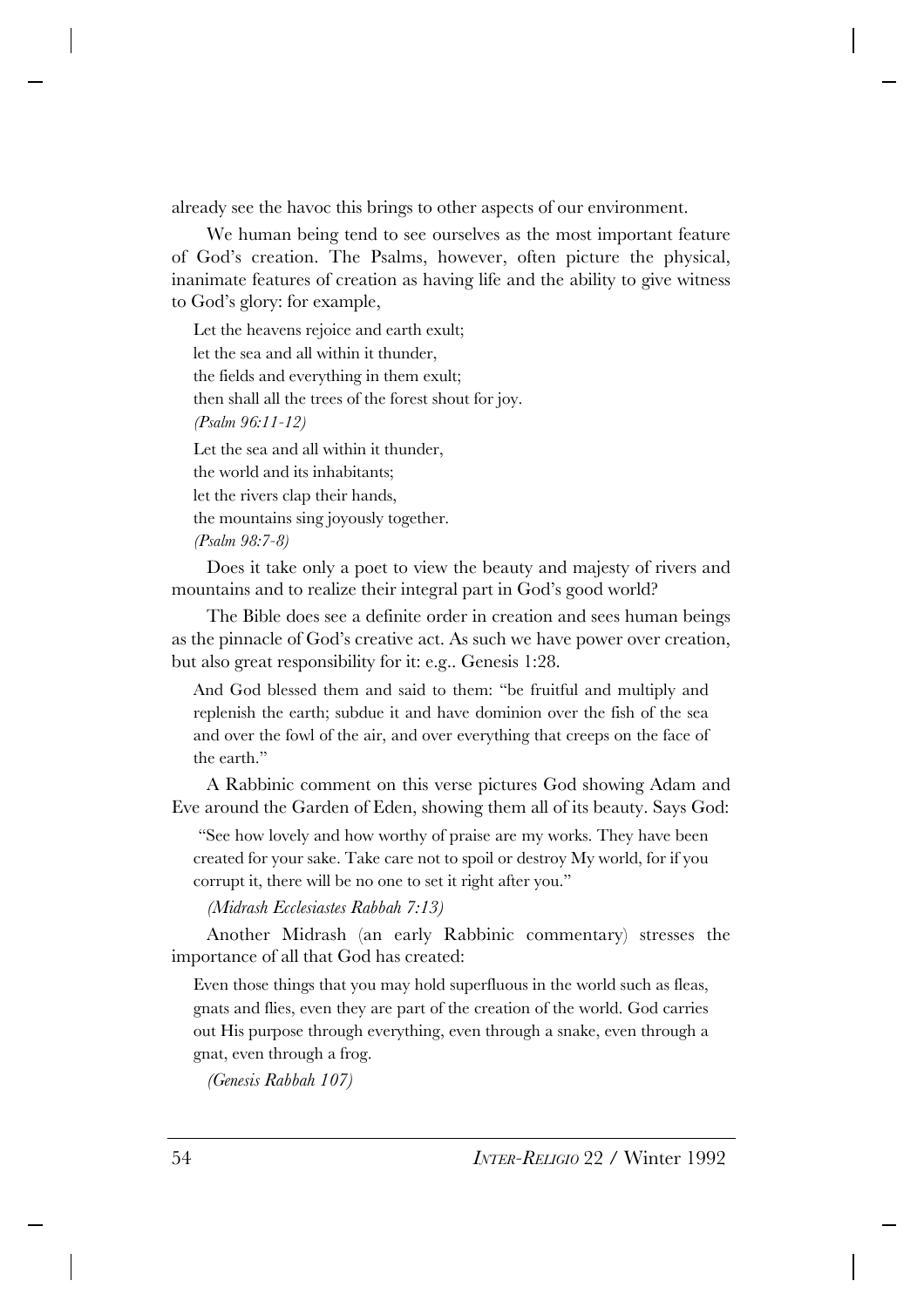already see the havoc this brings to other aspects of our environment.

We human being tend to see ourselves as the most important feature of God's creation. The Psalms, however, often picture the physical, inanimate features of creation as having life and the ability to give witness to God's glory: for example,

Let the heavens rejoice and earth exult; let the sea and all within it thunder, the fields and everything in them exult; then shall all the trees of the forest shout for joy. *(Psalm 96:11-12)* Let the sea and all within it thunder, the world and its inhabitants; let the rivers clap their hands, the mountains sing joyously together. *(Psalm 98:7-8)*

Does it take only a poet to view the beauty and majesty of rivers and mountains and to realize their integral part in God's good world?

The Bible does see a definite order in creation and sees human beings as the pinnacle of God's creative act. As such we have power over creation, but also great responsibility for it: e.g.. Genesis 1:28.

And God blessed them and said to them: "be fruitful and multiply and replenish the earth; subdue it and have dominion over the fish of the sea and over the fowl of the air, and over everything that creeps on the face of the earth."

A Rabbinic comment on this verse pictures God showing Adam and Eve around the Garden of Eden, showing them all of its beauty. Says God:

 "See how lovely and how worthy of praise are my works. They have been created for your sake. Take care not to spoil or destroy My world, for if you corrupt it, there will be no one to set it right after you."

*(Midrash Ecclesiastes Rabbah 7:13)*

Another Midrash (an early Rabbinic commentary) stresses the importance of all that God has created:

Even those things that you may hold superfluous in the world such as fleas, gnats and flies, even they are part of the creation of the world. God carries out His purpose through everything, even through a snake, even through a gnat, even through a frog.

*(Genesis Rabbah 107)*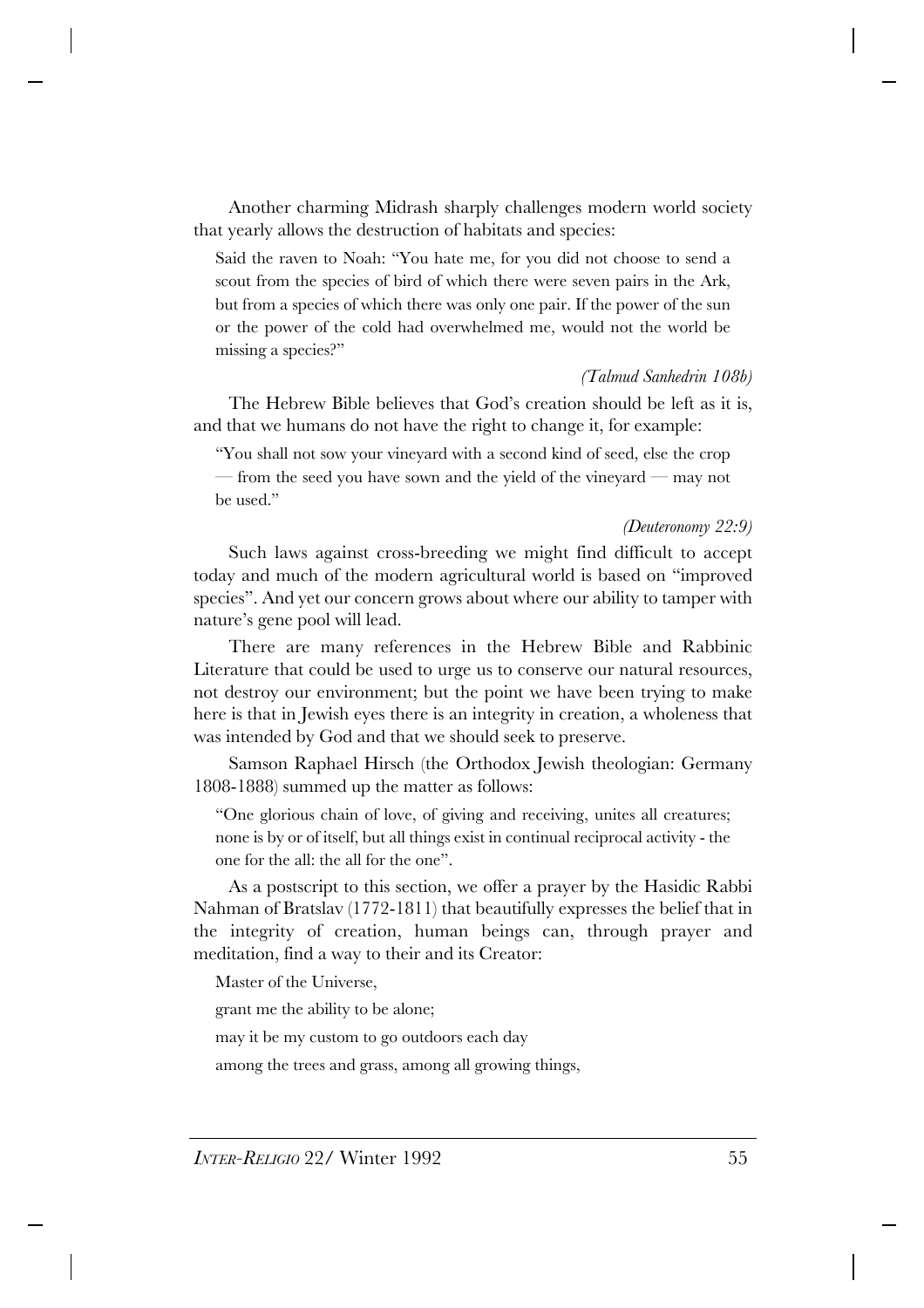Another charming Midrash sharply challenges modern world society that yearly allows the destruction of habitats and species:

Said the raven to Noah: "You hate me, for you did not choose to send a scout from the species of bird of which there were seven pairs in the Ark, but from a species of which there was only one pair. If the power of the sun or the power of the cold had overwhelmed me, would not the world be missing a species?"

#### *(Talmud Sanhedrin 108b)*

The Hebrew Bible believes that God's creation should be left as it is, and that we humans do not have the right to change it, for example:

"You shall not sow your vineyard with a second kind of seed, else the crop

— from the seed you have sown and the yield of the vineyard — may not be used."

#### *(Deuteronomy 22:9)*

Such laws against cross-breeding we might find difficult to accept today and much of the modern agricultural world is based on "improved species". And yet our concern grows about where our ability to tamper with nature's gene pool will lead.

There are many references in the Hebrew Bible and Rabbinic Literature that could be used to urge us to conserve our natural resources, not destroy our environment; but the point we have been trying to make here is that in Jewish eyes there is an integrity in creation, a wholeness that was intended by God and that we should seek to preserve.

Samson Raphael Hirsch (the Orthodox Jewish theologian: Germany 1808-1888) summed up the matter as follows:

"One glorious chain of love, of giving and receiving, unites all creatures; none is by or of itself, but all things exist in continual reciprocal activity - the one for the all: the all for the one".

As a postscript to this section, we offer a prayer by the Hasidic Rabbi Nahman of Bratslav (1772-1811) that beautifully expresses the belief that in the integrity of creation, human beings can, through prayer and meditation, find a way to their and its Creator:

Master of the Universe,

grant me the ability to be alone;

may it be my custom to go outdoors each day

among the trees and grass, among all growing things,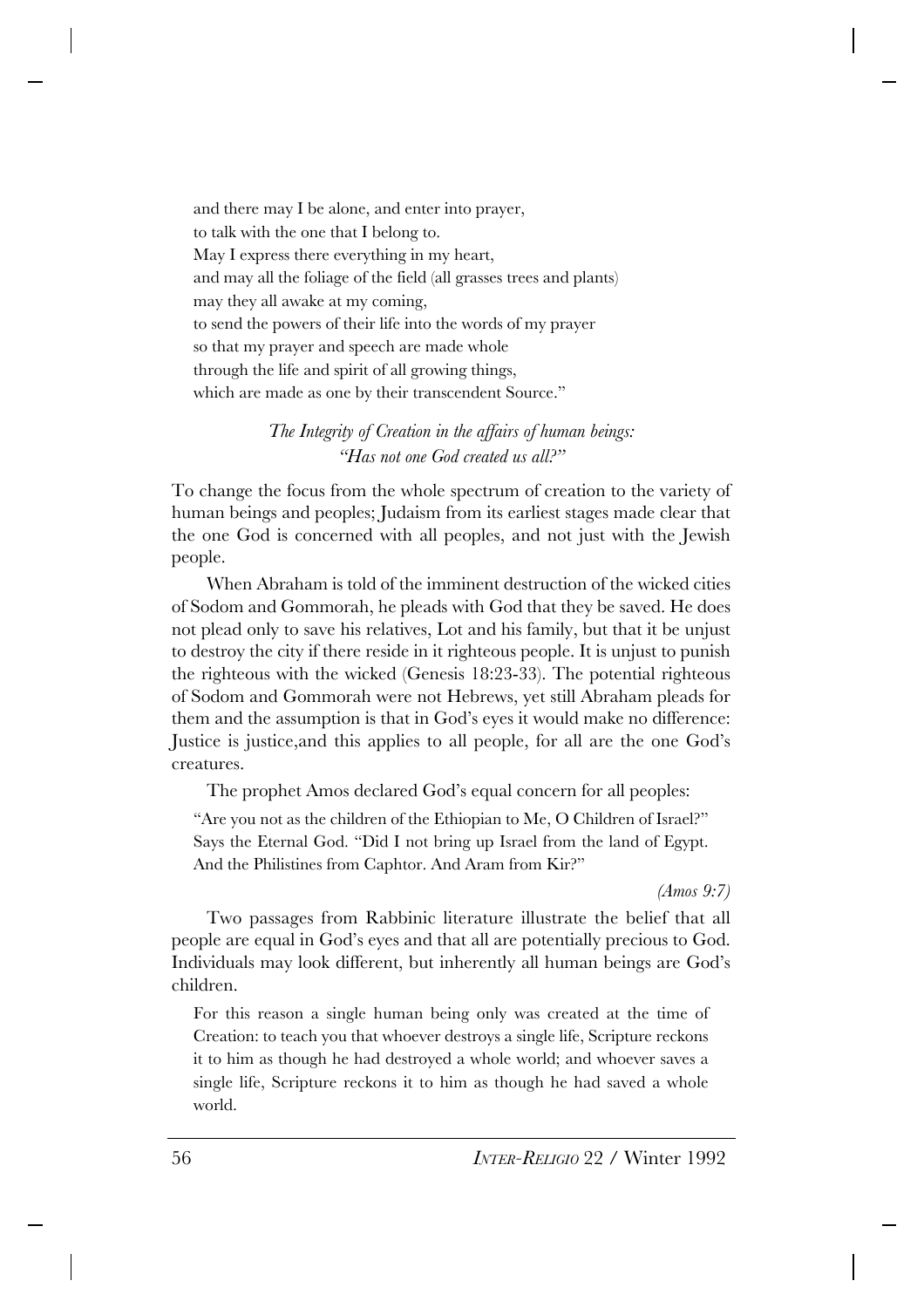and there may I be alone, and enter into prayer, to talk with the one that I belong to. May I express there everything in my heart, and may all the foliage of the field (all grasses trees and plants) may they all awake at my coming, to send the powers of their life into the words of my prayer so that my prayer and speech are made whole through the life and spirit of all growing things, which are made as one by their transcendent Source."

## *The Integrity of Creation in the affairs of human beings: "Has not one God created us all?"*

To change the focus from the whole spectrum of creation to the variety of human beings and peoples; Judaism from its earliest stages made clear that the one God is concerned with all peoples, and not just with the Jewish people.

When Abraham is told of the imminent destruction of the wicked cities of Sodom and Gommorah, he pleads with God that they be saved. He does not plead only to save his relatives, Lot and his family, but that it be unjust to destroy the city if there reside in it righteous people. It is unjust to punish the righteous with the wicked (Genesis 18:23-33). The potential righteous of Sodom and Gommorah were not Hebrews, yet still Abraham pleads for them and the assumption is that in God's eyes it would make no difference: Justice is justice,and this applies to all people, for all are the one God's creatures.

The prophet Amos declared God's equal concern for all peoples:

"Are you not as the children of the Ethiopian to Me, O Children of Israel?" Says the Eternal God. "Did I not bring up Israel from the land of Egypt. And the Philistines from Caphtor. And Aram from Kir?"

*(Amos 9:7)*

Two passages from Rabbinic literature illustrate the belief that all people are equal in God's eyes and that all are potentially precious to God. Individuals may look different, but inherently all human beings are God's children.

For this reason a single human being only was created at the time of Creation: to teach you that whoever destroys a single life, Scripture reckons it to him as though he had destroyed a whole world; and whoever saves a single life, Scripture reckons it to him as though he had saved a whole world.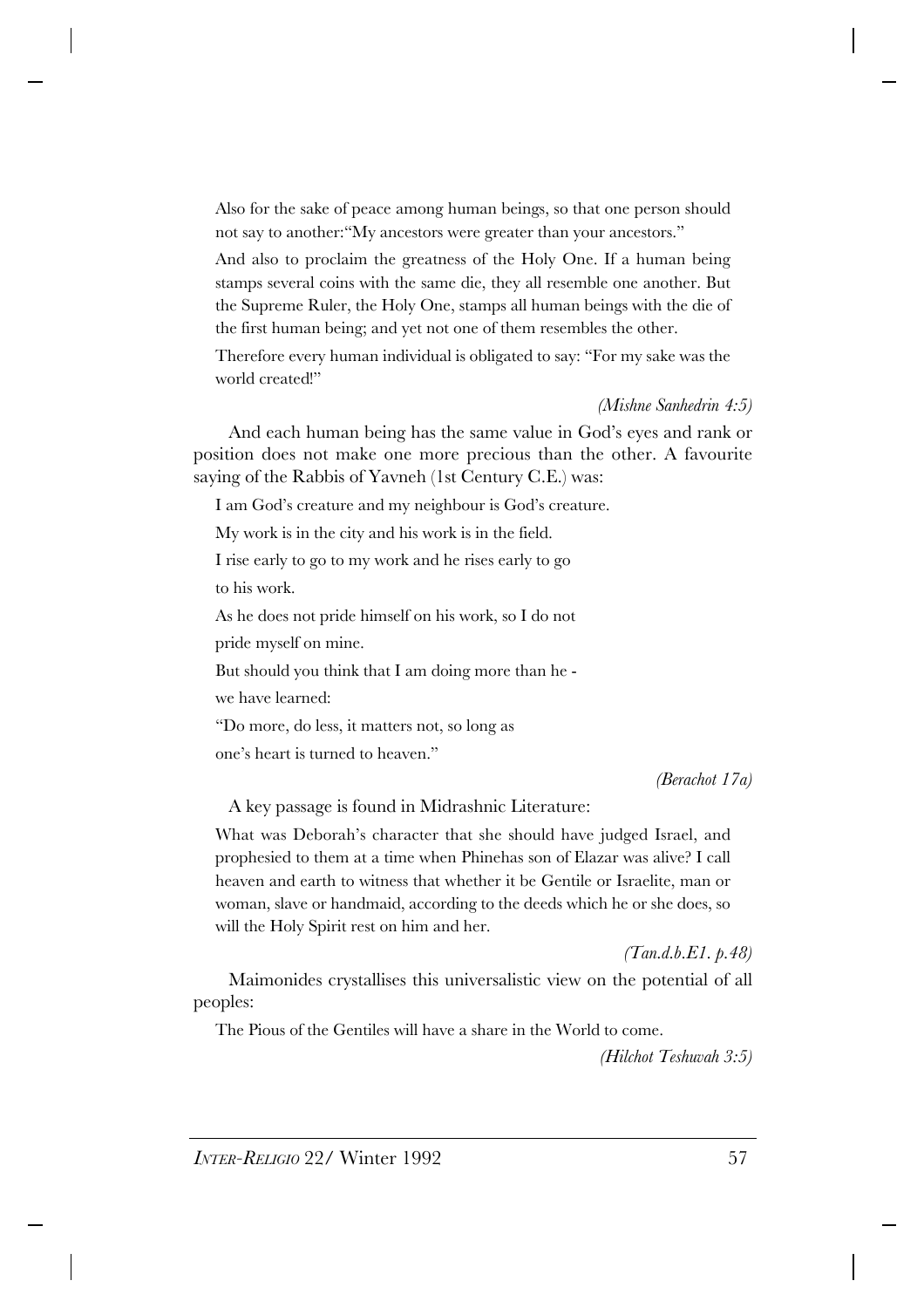Also for the sake of peace among human beings, so that one person should not say to another:"My ancestors were greater than your ancestors."

And also to proclaim the greatness of the Holy One. If a human being stamps several coins with the same die, they all resemble one another. But the Supreme Ruler, the Holy One, stamps all human beings with the die of the first human being; and yet not one of them resembles the other.

Therefore every human individual is obligated to say: "For my sake was the world created!"

*(Mishne Sanhedrin 4:5)*

And each human being has the same value in God's eyes and rank or position does not make one more precious than the other. A favourite saying of the Rabbis of Yavneh (1st Century C.E.) was:

I am God's creature and my neighbour is God's creature.

My work is in the city and his work is in the field.

I rise early to go to my work and he rises early to go to his work.

As he does not pride himself on his work, so I do not

pride myself on mine.

But should you think that I am doing more than he -

we have learned:

"Do more, do less, it matters not, so long as one's heart is turned to heaven."

*(Berachot 17a)*

A key passage is found in Midrashnic Literature:

What was Deborah's character that she should have judged Israel, and prophesied to them at a time when Phinehas son of Elazar was alive? I call heaven and earth to witness that whether it be Gentile or Israelite, man or woman, slave or handmaid, according to the deeds which he or she does, so will the Holy Spirit rest on him and her.

*(Tan.d.b.E1. p.48)*

Maimonides crystallises this universalistic view on the potential of all peoples:

The Pious of the Gentiles will have a share in the World to come.

*(Hilchot Teshuvah 3:5)*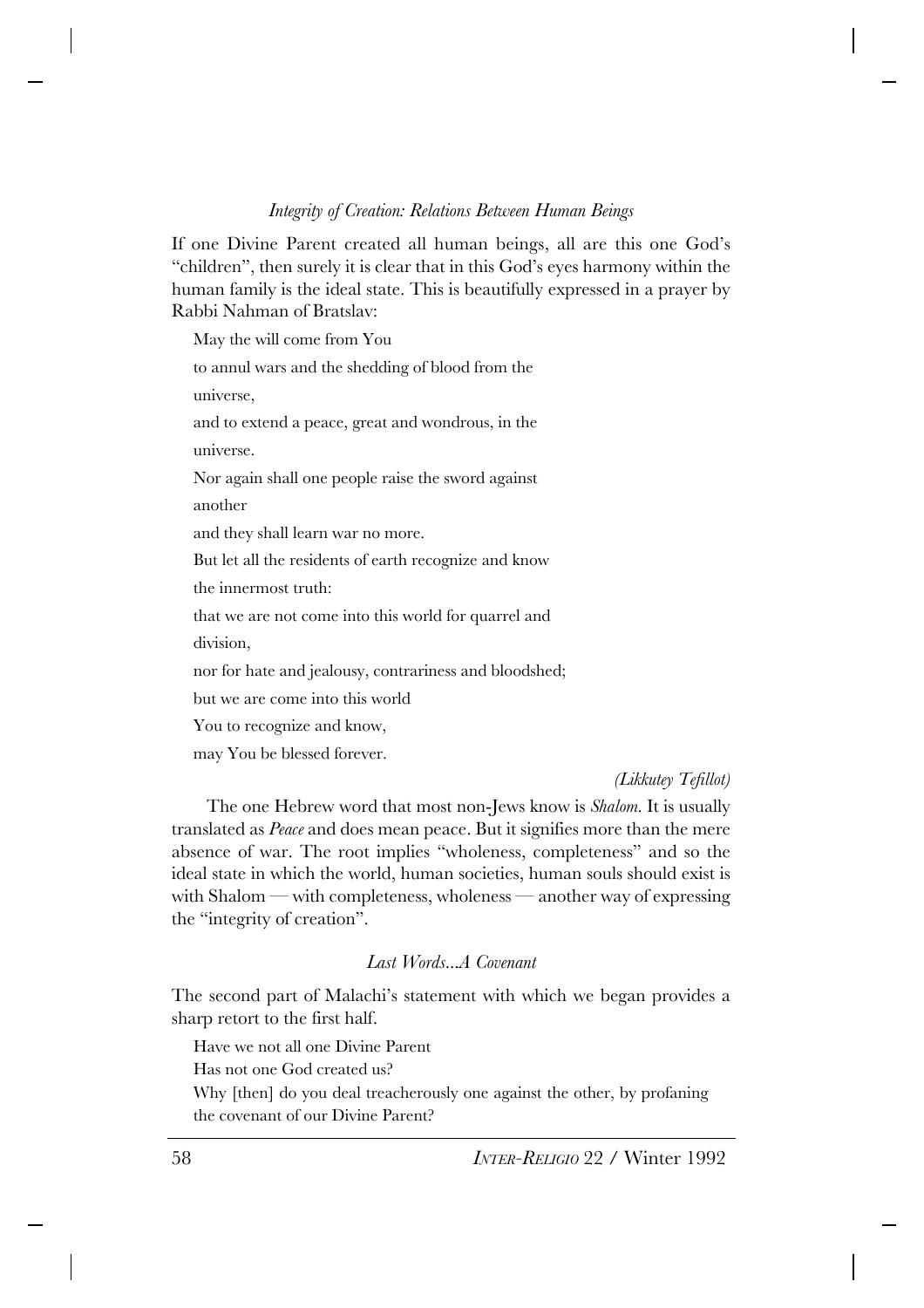### *Integrity of Creation: Relations Between Human Beings*

If one Divine Parent created all human beings, all are this one God's "children", then surely it is clear that in this God's eyes harmony within the human family is the ideal state. This is beautifully expressed in a prayer by Rabbi Nahman of Bratslav:

May the will come from You to annul wars and the shedding of blood from the universe, and to extend a peace, great and wondrous, in the universe. Nor again shall one people raise the sword against another and they shall learn war no more. But let all the residents of earth recognize and know the innermost truth: that we are not come into this world for quarrel and division, nor for hate and jealousy, contrariness and bloodshed; but we are come into this world You to recognize and know, may You be blessed forever.

*(Likkutey Tefillot)*

The one Hebrew word that most non-Jews know is *Shalom*. It is usually translated as *Peace* and does mean peace. But it signifies more than the mere absence of war. The root implies "wholeness, completeness" and so the ideal state in which the world, human societies, human souls should exist is with Shalom — with completeness, wholeness — another way of expressing the "integrity of creation".

#### *Last Words...A Covenant*

The second part of Malachi's statement with which we began provides a sharp retort to the first half.

Have we not all one Divine Parent

Has not one God created us?

Why [then] do you deal treacherously one against the other, by profaning the covenant of our Divine Parent?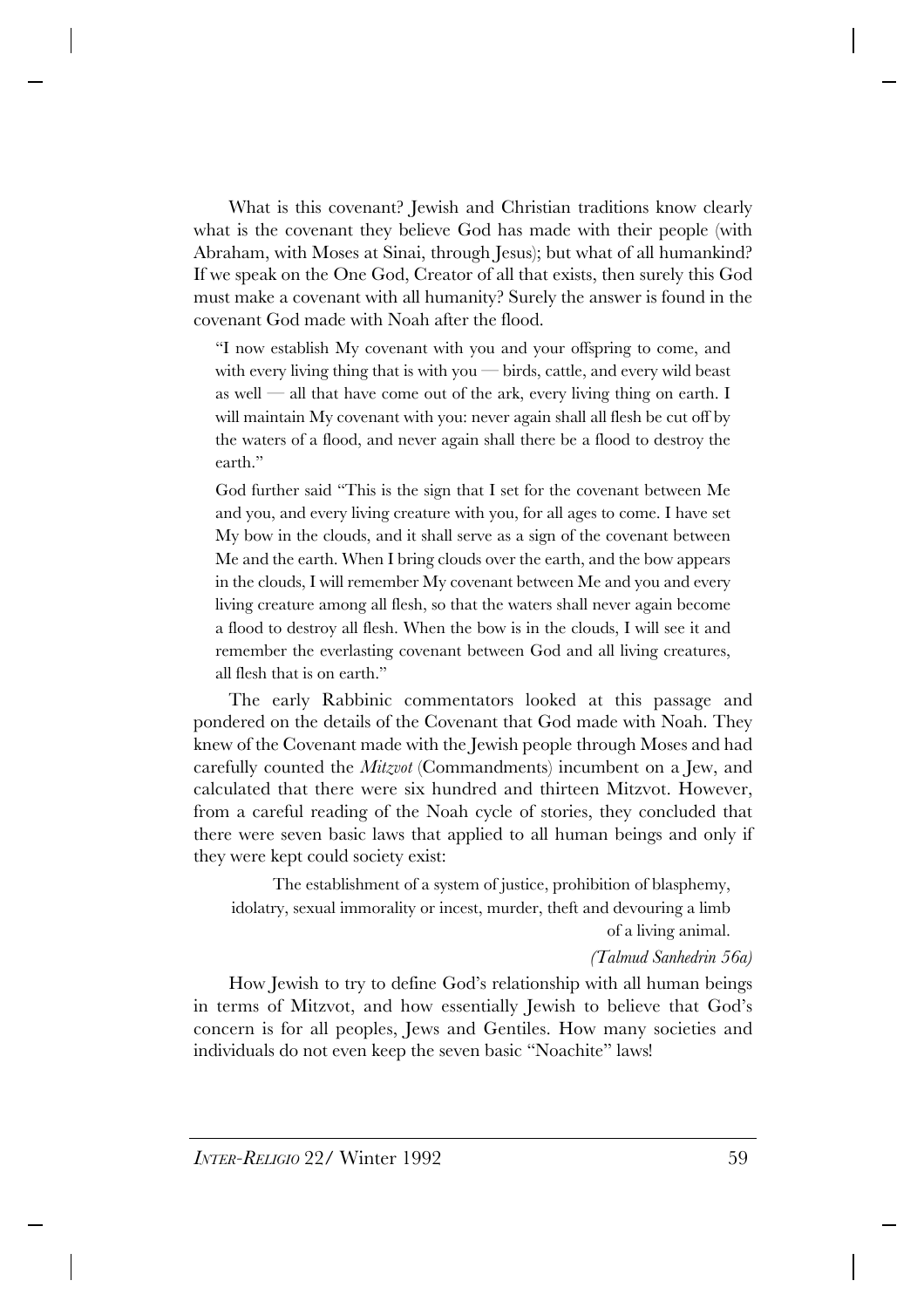What is this covenant? Jewish and Christian traditions know clearly what is the covenant they believe God has made with their people (with Abraham, with Moses at Sinai, through Jesus); but what of all humankind? If we speak on the One God, Creator of all that exists, then surely this God must make a covenant with all humanity? Surely the answer is found in the covenant God made with Noah after the flood.

"I now establish My covenant with you and your offspring to come, and with every living thing that is with you  $-$  birds, cattle, and every wild beast as well — all that have come out of the ark, every living thing on earth. I will maintain My covenant with you: never again shall all flesh be cut off by the waters of a flood, and never again shall there be a flood to destroy the earth."

God further said "This is the sign that I set for the covenant between Me and you, and every living creature with you, for all ages to come. I have set My bow in the clouds, and it shall serve as a sign of the covenant between Me and the earth. When I bring clouds over the earth, and the bow appears in the clouds, I will remember My covenant between Me and you and every living creature among all flesh, so that the waters shall never again become a flood to destroy all flesh. When the bow is in the clouds, I will see it and remember the everlasting covenant between God and all living creatures, all flesh that is on earth."

The early Rabbinic commentators looked at this passage and pondered on the details of the Covenant that God made with Noah. They knew of the Covenant made with the Jewish people through Moses and had carefully counted the *Mitzvot* (Commandments) incumbent on a Jew, and calculated that there were six hundred and thirteen Mitzvot. However, from a careful reading of the Noah cycle of stories, they concluded that there were seven basic laws that applied to all human beings and only if they were kept could society exist:

The establishment of a system of justice, prohibition of blasphemy, idolatry, sexual immorality or incest, murder, theft and devouring a limb of a living animal.

*(Talmud Sanhedrin 56a)*

How Jewish to try to define God's relationship with all human beings in terms of Mitzvot, and how essentially Jewish to believe that God's concern is for all peoples, Jews and Gentiles. How many societies and individuals do not even keep the seven basic "Noachite" laws!